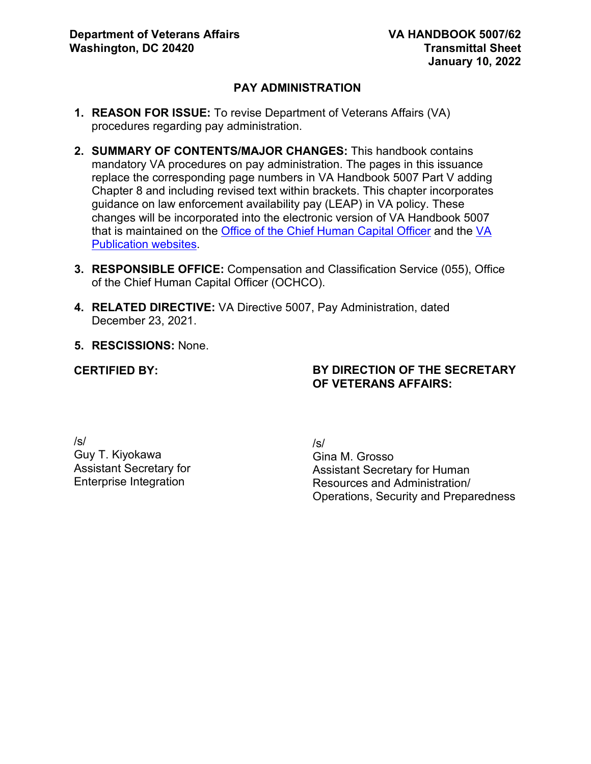# **PAY ADMINISTRATION**

- **1. REASON FOR ISSUE:** To revise Department of Veterans Affairs (VA) procedures regarding pay administration.
- **2. SUMMARY OF CONTENTS/MAJOR CHANGES:** This handbook contains mandatory VA procedures on pay administration. The pages in this issuance replace the corresponding page numbers in VA Handbook 5007 Part V adding Chapter 8 and including revised text within brackets. This chapter incorporates guidance on law enforcement availability pay (LEAP) in VA policy. These changes will be incorporated into the electronic version of VA Handbook 5007 that is maintained on the [Office of the Chief Human Capital Officer](http://vaww1.va.gov/ohrm) and the [VA](https://vaww.va.gov/vapubs/search_action.cfm?dType=1)  [Publication websites](https://vaww.va.gov/vapubs/search_action.cfm?dType=1).
- **3. RESPONSIBLE OFFICE:** Compensation and Classification Service (055), Office of the Chief Human Capital Officer (OCHCO).
- **4. RELATED DIRECTIVE:** VA Directive 5007, Pay Administration, dated December 23, 2021.
- **5. RESCISSIONS:** None.

#### **CERTIFIED BY:**

# **BY DIRECTION OF THE SECRETARY OF VETERANS AFFAIRS:**

/s/ Guy T. Kiyokawa Assistant Secretary for Enterprise Integration

/s/ Gina M. Grosso Assistant Secretary for Human Resources and Administration/ Operations, Security and Preparedness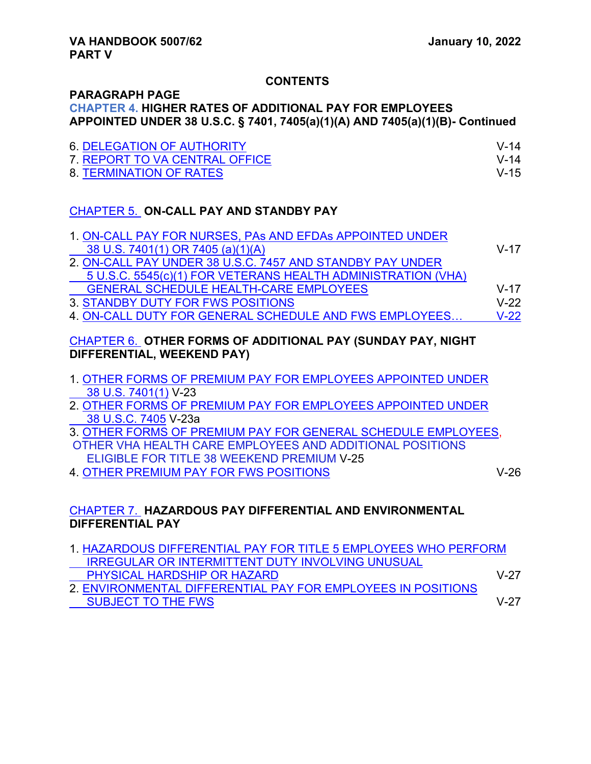**DIFFERENTIAL PAY** 

# **CONTENTS**

#### **PARAGRAPH PAGE CHAPTER 4. HIGHER RATES OF ADDITIONAL PAY FOR EMPLOYEES APPOINTED UNDER 38 U.S.C. § 7401, 7405(a)(1)(A) AND 7405(a)(1)(B)- Continued**

| <b>6. DELEGATION OF AUTHORITY</b> | $V-14$   |
|-----------------------------------|----------|
| 7 REPORT TO VA CENTRAL OFFICE     | $V - 14$ |
| 8. TERMINATION OF RATES           | $V-15$   |

# CHAPTER 5. **ON-CALL PAY AND STANDBY PAY**

| 1. ON-CALL PAY FOR NURSES, PAs AND EFDAS APPOINTED UNDER     |          |
|--------------------------------------------------------------|----------|
| 38 U.S. 7401(1) OR 7405 (a)(1)(A)                            | $V - 17$ |
| 2. ON-CALL PAY UNDER 38 U.S.C. 7457 AND STANDBY PAY UNDER    |          |
| 5 U.S.C. 5545(c)(1) FOR VETERANS HEALTH ADMINISTRATION (VHA) |          |
| <b>GENERAL SCHEDULE HEALTH-CARE EMPLOYEES</b>                | $V - 17$ |
| 3. STANDBY DUTY FOR FWS POSITIONS                            | $V-22$   |
| 4. ON-CALL DUTY FOR GENERAL SCHEDULE AND FWS EMPLOYEES       | $V-22$   |

# CHAPTER 6. **OTHER FORMS OF ADDITIONAL PAY (SUNDAY PAY, NIGHT DIFFERENTIAL, WEEKEND PAY)**

- 1. OTHER FORMS OF PREMIUM PAY FOR EMPLOYEES APPOINTED UNDER 38 U.S. 7401(1) V-23
- 2. OTHER FORMS OF PREMIUM PAY FOR EMPLOYEES APPOINTED UNDER 38 U.S.C. 7405 V-23a
- 3. OTHER FORMS OF PREMIUM PAY FOR GENERAL SCHEDULE EMPLOYEES, OTHER VHA HEALTH CARE EMPLOYEES AND ADDITIONAL POSITIONS
- ELIGIBLE FOR TITLE 38 WEEKEND PREMIUM V-25 4. OTHER PREMIUM PAY FOR FWS POSITIONS V-26
	-

# CHAPTER 7. **HAZARDOUS PAY DIFFERENTIAL AND ENVIRONMENTAL**

| 1. HAZARDOUS DIFFERENTIAL PAY FOR TITLE 5 EMPLOYEES WHO PERFORM |        |
|-----------------------------------------------------------------|--------|
| <b>IRREGULAR OR INTERMITTENT DUTY INVOLVING UNUSUAL</b>         |        |
| PHYSICAL HARDSHIP OR HAZARD                                     | $V-27$ |
| 2. ENVIRONMENTAL DIFFERENTIAL PAY FOR EMPLOYEES IN POSITIONS    |        |
| <b>SUBJECT TO THE FWS</b>                                       | \/_27  |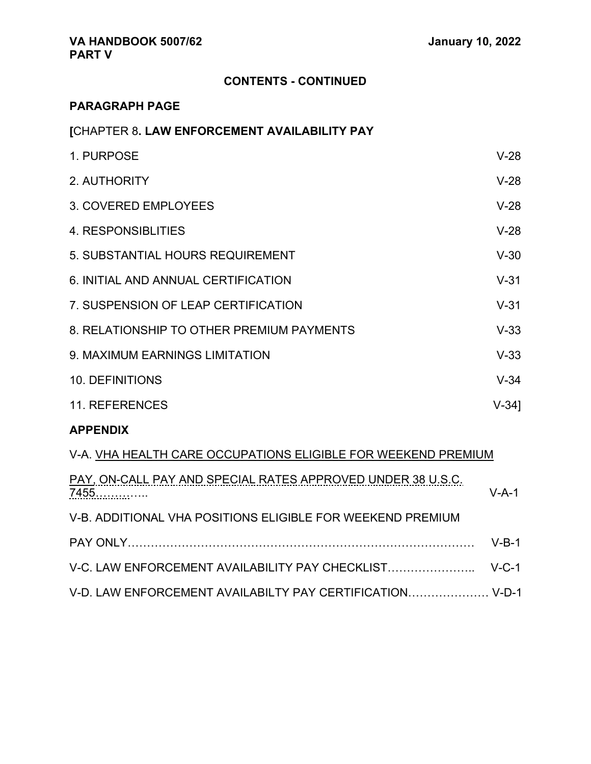# **CONTENTS - CONTINUED**

# **PARAGRAPH PAGE**

| [CHAPTER 8. LAW ENFORCEMENT AVAILABILITY PAY |  |
|----------------------------------------------|--|
|                                              |  |

| 1. PURPOSE                                | $V-28$   |
|-------------------------------------------|----------|
| 2. AUTHORITY                              | $V-28$   |
| 3. COVERED EMPLOYEES                      | $V-28$   |
| 4. RESPONSIBLITIES                        | $V-28$   |
| 5. SUBSTANTIAL HOURS REQUIREMENT          | $V-30$   |
| 6. INITIAL AND ANNUAL CERTIFICATION       | $V-31$   |
| 7. SUSPENSION OF LEAP CERTIFICATION       | $V-31$   |
| 8. RELATIONSHIP TO OTHER PREMIUM PAYMENTS | $V-33$   |
| 9. MAXIMUM EARNINGS LIMITATION            | $V-33$   |
| <b>10. DEFINITIONS</b>                    | $V-34$   |
| 11. REFERENCES                            | $V-34$ ] |

#### **APPENDIX**

# V-A. VHA HEALTH CARE OCCUPATIONS ELIGIBLE FOR WEEKEND PREMIUM

| PAY, ON-CALL PAY AND SPECIAL RATES APPROVED UNDER 38 U.S.C.<br>7455 | $V-A-1$ |
|---------------------------------------------------------------------|---------|
| V-B. ADDITIONAL VHA POSITIONS ELIGIBLE FOR WEEKEND PREMIUM          |         |
|                                                                     | $V-R-1$ |
|                                                                     |         |
| V-D. LAW ENFORCEMENT AVAILABILTY PAY CERTIFICATION V-D-1            |         |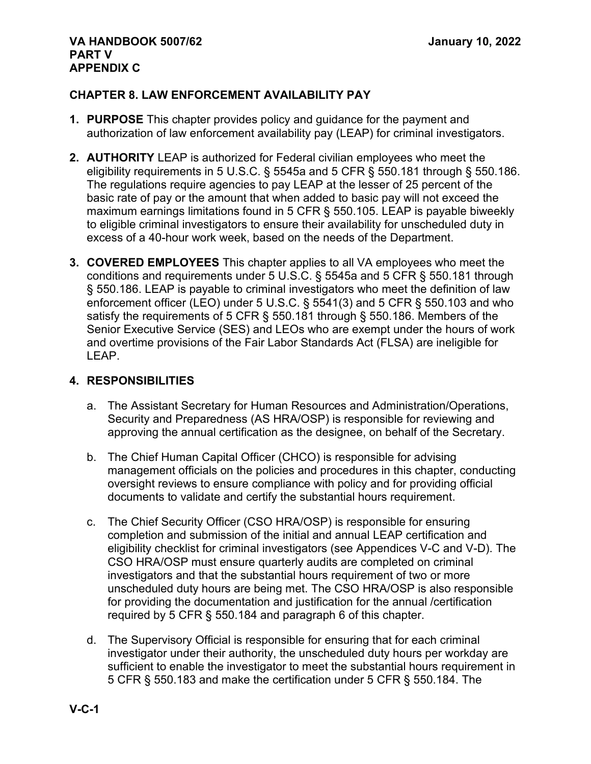# **CHAPTER 8. LAW ENFORCEMENT AVAILABILITY PAY**

- **1. PURPOSE** This chapter provides policy and guidance for the payment and authorization of law enforcement availability pay (LEAP) for criminal investigators.
- **2. AUTHORITY** LEAP is authorized for Federal civilian employees who meet the eligibility requirements in 5 U.S.C. § 5545a and 5 CFR § 550.181 through § 550.186. The regulations require agencies to pay LEAP at the lesser of 25 percent of the basic rate of pay or the amount that when added to basic pay will not exceed the maximum earnings limitations found in 5 CFR § 550.105. LEAP is payable biweekly to eligible criminal investigators to ensure their availability for unscheduled duty in excess of a 40-hour work week, based on the needs of the Department.
- **3. COVERED EMPLOYEES** This chapter applies to all VA employees who meet the conditions and requirements under 5 U.S.C. § 5545a and 5 CFR § 550.181 through § 550.186. LEAP is payable to criminal investigators who meet the definition of law enforcement officer (LEO) under 5 U.S.C. § 5541(3) and 5 CFR § 550.103 and who satisfy the requirements of 5 CFR § 550.181 through § 550.186. Members of the Senior Executive Service (SES) and LEOs who are exempt under the hours of work and overtime provisions of the Fair Labor Standards Act (FLSA) are ineligible for LEAP.

# **4. RESPONSIBILITIES**

- a. The Assistant Secretary for Human Resources and Administration/Operations, Security and Preparedness (AS HRA/OSP) is responsible for reviewing and approving the annual certification as the designee, on behalf of the Secretary.
- b. The Chief Human Capital Officer (CHCO) is responsible for advising management officials on the policies and procedures in this chapter, conducting oversight reviews to ensure compliance with policy and for providing official documents to validate and certify the substantial hours requirement.
- c. The Chief Security Officer (CSO HRA/OSP) is responsible for ensuring completion and submission of the initial and annual LEAP certification and eligibility checklist for criminal investigators (see Appendices V-C and V-D). The CSO HRA/OSP must ensure quarterly audits are completed on criminal investigators and that the substantial hours requirement of two or more unscheduled duty hours are being met. The CSO HRA/OSP is also responsible for providing the documentation and justification for the annual /certification required by 5 CFR § 550.184 and paragraph 6 of this chapter.
- d. The Supervisory Official is responsible for ensuring that for each criminal investigator under their authority, the unscheduled duty hours per workday are sufficient to enable the investigator to meet the substantial hours requirement in 5 CFR § 550.183 and make the certification under 5 CFR § 550.184. The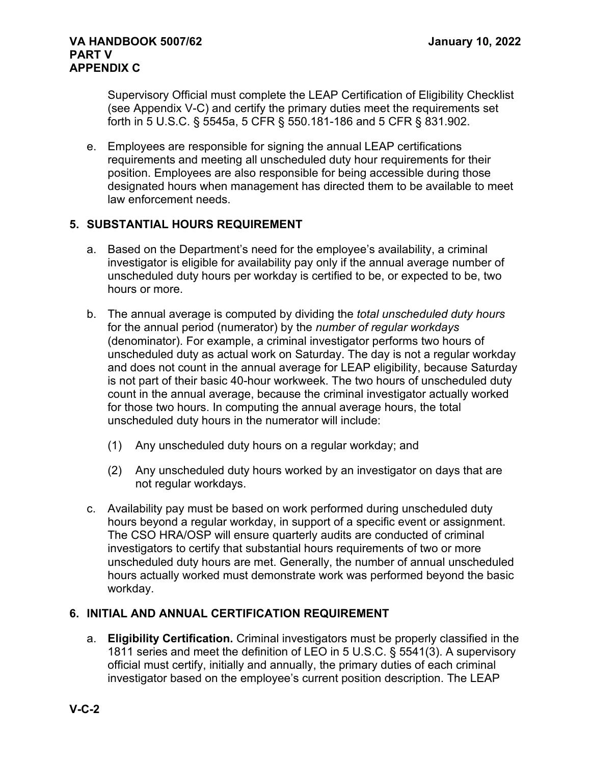#### **VA HANDBOOK 5007/62 January 10, 2022 PART V APPENDIX C**

Supervisory Official must complete the LEAP Certification of Eligibility Checklist (see Appendix V-C) and certify the primary duties meet the requirements set forth in 5 U.S.C. § 5545a, 5 CFR § 550.181-186 and 5 CFR § 831.902.

e. Employees are responsible for signing the annual LEAP certifications requirements and meeting all unscheduled duty hour requirements for their position. Employees are also responsible for being accessible during those designated hours when management has directed them to be available to meet law enforcement needs.

# **5. SUBSTANTIAL HOURS REQUIREMENT**

- a. Based on the Department's need for the employee's availability, a criminal investigator is eligible for availability pay only if the annual average number of unscheduled duty hours per workday is certified to be, or expected to be, two hours or more.
- b. The annual average is computed by dividing the *total unscheduled duty hours* for the annual period (numerator) by the *number of regular workdays* (denominator). For example, a criminal investigator performs two hours of unscheduled duty as actual work on Saturday. The day is not a regular workday and does not count in the annual average for LEAP eligibility, because Saturday is not part of their basic 40-hour workweek. The two hours of unscheduled duty count in the annual average, because the criminal investigator actually worked for those two hours. In computing the annual average hours, the total unscheduled duty hours in the numerator will include:
	- (1) Any unscheduled duty hours on a regular workday; and
	- (2) Any unscheduled duty hours worked by an investigator on days that are not regular workdays.
- c. Availability pay must be based on work performed during unscheduled duty hours beyond a regular workday, in support of a specific event or assignment. The CSO HRA/OSP will ensure quarterly audits are conducted of criminal investigators to certify that substantial hours requirements of two or more unscheduled duty hours are met. Generally, the number of annual unscheduled hours actually worked must demonstrate work was performed beyond the basic workday.

# **6. INITIAL AND ANNUAL CERTIFICATION REQUIREMENT**

a. **Eligibility Certification.** Criminal investigators must be properly classified in the 1811 series and meet the definition of LEO in 5 U.S.C. § 5541(3). A supervisory official must certify, initially and annually, the primary duties of each criminal investigator based on the employee's current position description. The LEAP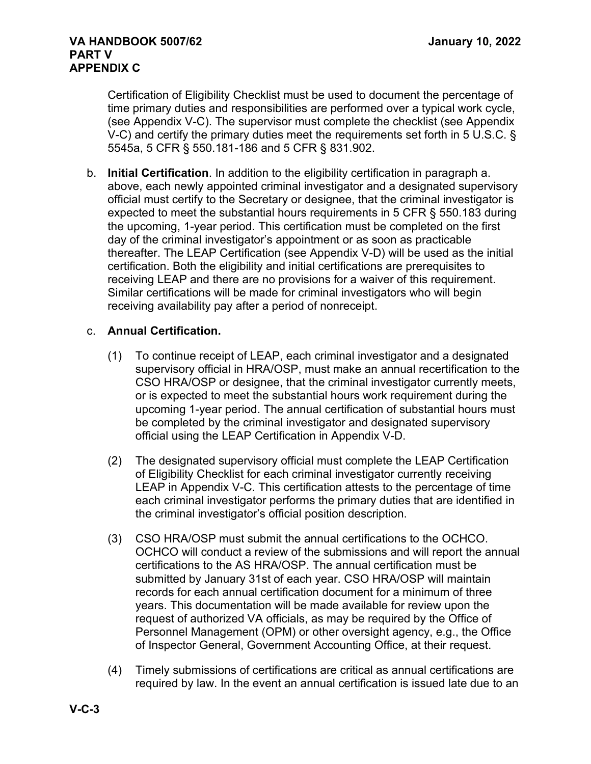Certification of Eligibility Checklist must be used to document the percentage of time primary duties and responsibilities are performed over a typical work cycle, (see Appendix V-C). The supervisor must complete the checklist (see Appendix V-C) and certify the primary duties meet the requirements set forth in 5 U.S.C. § 5545a, 5 CFR § 550.181-186 and 5 CFR § 831.902.

b. **Initial Certification**. In addition to the eligibility certification in paragraph a. above, each newly appointed criminal investigator and a designated supervisory official must certify to the Secretary or designee, that the criminal investigator is expected to meet the substantial hours requirements in 5 CFR § 550.183 during the upcoming, 1-year period. This certification must be completed on the first day of the criminal investigator's appointment or as soon as practicable thereafter. The LEAP Certification (see Appendix V-D) will be used as the initial certification. Both the eligibility and initial certifications are prerequisites to receiving LEAP and there are no provisions for a waiver of this requirement. Similar certifications will be made for criminal investigators who will begin receiving availability pay after a period of nonreceipt.

# c. **Annual Certification.**

- (1) To continue receipt of LEAP, each criminal investigator and a designated supervisory official in HRA/OSP, must make an annual recertification to the CSO HRA/OSP or designee, that the criminal investigator currently meets, or is expected to meet the substantial hours work requirement during the upcoming 1-year period. The annual certification of substantial hours must be completed by the criminal investigator and designated supervisory official using the LEAP Certification in Appendix V-D.
- (2) The designated supervisory official must complete the LEAP Certification of Eligibility Checklist for each criminal investigator currently receiving LEAP in Appendix V-C. This certification attests to the percentage of time each criminal investigator performs the primary duties that are identified in the criminal investigator's official position description.
- (3) CSO HRA/OSP must submit the annual certifications to the OCHCO. OCHCO will conduct a review of the submissions and will report the annual certifications to the AS HRA/OSP. The annual certification must be submitted by January 31st of each year. CSO HRA/OSP will maintain records for each annual certification document for a minimum of three years. This documentation will be made available for review upon the request of authorized VA officials, as may be required by the Office of Personnel Management (OPM) or other oversight agency, e.g., the Office of Inspector General, Government Accounting Office, at their request.
- (4) Timely submissions of certifications are critical as annual certifications are required by law. In the event an annual certification is issued late due to an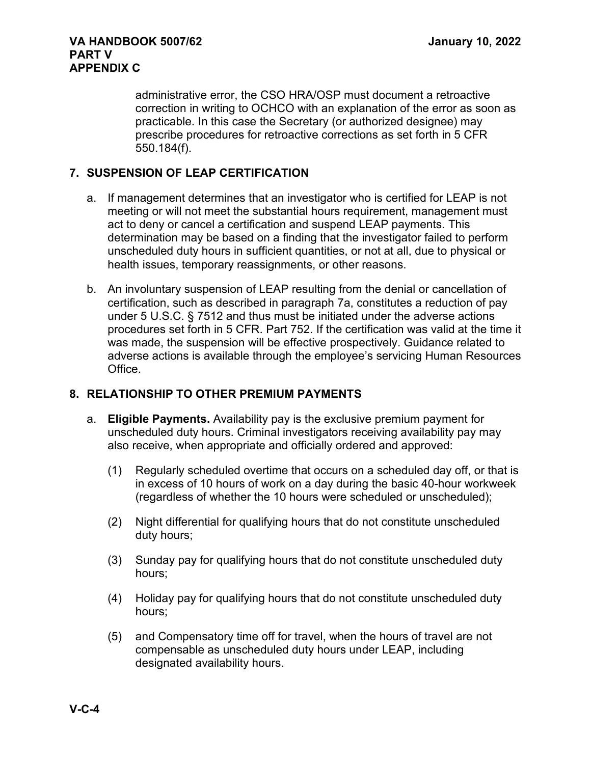administrative error, the CSO HRA/OSP must document a retroactive correction in writing to OCHCO with an explanation of the error as soon as practicable. In this case the Secretary (or authorized designee) may prescribe procedures for retroactive corrections as set forth in 5 CFR 550.184(f).

# **7. SUSPENSION OF LEAP CERTIFICATION**

- a. If management determines that an investigator who is certified for LEAP is not meeting or will not meet the substantial hours requirement, management must act to deny or cancel a certification and suspend LEAP payments. This determination may be based on a finding that the investigator failed to perform unscheduled duty hours in sufficient quantities, or not at all, due to physical or health issues, temporary reassignments, or other reasons.
- b. An involuntary suspension of LEAP resulting from the denial or cancellation of certification, such as described in paragraph 7a, constitutes a reduction of pay under 5 U.S.C. § 7512 and thus must be initiated under the adverse actions procedures set forth in 5 CFR. Part 752. If the certification was valid at the time it was made, the suspension will be effective prospectively. Guidance related to adverse actions is available through the employee's servicing Human Resources Office.

# **8. RELATIONSHIP TO OTHER PREMIUM PAYMENTS**

- a. **Eligible Payments.** Availability pay is the exclusive premium payment for unscheduled duty hours. Criminal investigators receiving availability pay may also receive, when appropriate and officially ordered and approved:
	- (1) Regularly scheduled overtime that occurs on a scheduled day off, or that is in excess of 10 hours of work on a day during the basic 40-hour workweek (regardless of whether the 10 hours were scheduled or unscheduled);
	- (2) Night differential for qualifying hours that do not constitute unscheduled duty hours;
	- (3) Sunday pay for qualifying hours that do not constitute unscheduled duty hours;
	- (4) Holiday pay for qualifying hours that do not constitute unscheduled duty hours;
	- (5) and Compensatory time off for travel, when the hours of travel are not compensable as unscheduled duty hours under LEAP, including designated availability hours.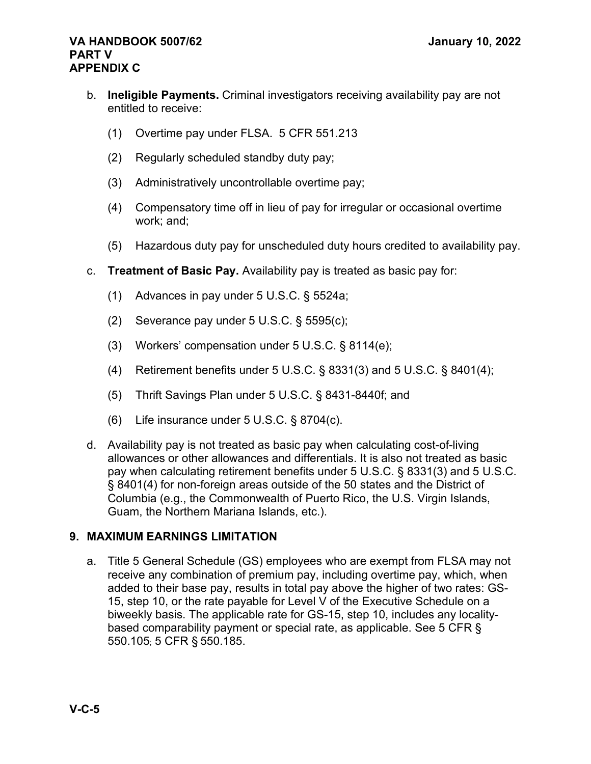#### **VA HANDBOOK 5007/62 January 10, 2022 PART V APPENDIX C**

- b. **Ineligible Payments.** Criminal investigators receiving availability pay are not entitled to receive:
	- (1) Overtime pay under FLSA. 5 CFR 551.213
	- (2) Regularly scheduled standby duty pay;
	- (3) Administratively uncontrollable overtime pay;
	- (4) Compensatory time off in lieu of pay for irregular or occasional overtime work; and;
	- (5) Hazardous duty pay for unscheduled duty hours credited to availability pay.
- c. **Treatment of Basic Pay.** Availability pay is treated as basic pay for:
	- (1) Advances in pay under 5 U.S.C. § 5524a;
	- (2) Severance pay under 5 U.S.C. § 5595(c);
	- (3) Workers' compensation under 5 U.S.C. § 8114(e);
	- (4) Retirement benefits under 5 U.S.C. § 8331(3) and 5 U.S.C. § 8401(4);
	- (5) Thrift Savings Plan under 5 U.S.C. § 8431-8440f; and
	- (6) Life insurance under 5 U.S.C. § 8704(c).
- d. Availability pay is not treated as basic pay when calculating cost-of-living allowances or other allowances and differentials. It is also not treated as basic pay when calculating retirement benefits under 5 U.S.C. § 8331(3) and 5 U.S.C. § 8401(4) for non-foreign areas outside of the 50 states and the District of Columbia (e.g., the Commonwealth of Puerto Rico, the U.S. Virgin Islands, Guam, the Northern Mariana Islands, etc.).

# **9. MAXIMUM EARNINGS LIMITATION**

a. Title 5 General Schedule (GS) employees who are exempt from FLSA may not receive any combination of premium pay, including overtime pay, which, when added to their base pay, results in total pay above the higher of two rates: GS-15, step 10, or the rate payable for Level V of the Executive Schedule on a biweekly basis. The applicable rate for GS-15, step 10, includes any localitybased comparability payment or special rate, as applicable. See 5 CFR § 550.105; 5 CFR § 550.185.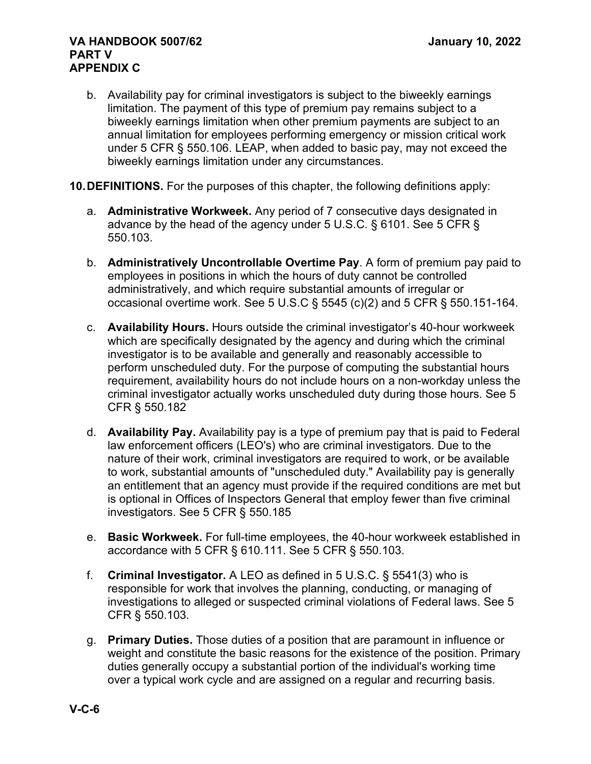- b. Availability pay for criminal investigators is subject to the biweekly earnings limitation. The payment of this type of premium pay remains subject to a biweekly earnings limitation when other premium payments are subject to an annual limitation for employees performing emergency or mission critical work under 5 CFR § 550.106. LEAP, when added to basic pay, may not exceed the biweekly earnings limitation under any circumstances.
- **10.DEFINITIONS.** For the purposes of this chapter, the following definitions apply:
	- a. **Administrative Workweek.** Any period of 7 consecutive days designated in advance by the head of the agency under 5 U.S.C. § 6101. See 5 CFR § 550.103.
	- b. **Administratively Uncontrollable Overtime Pay**. A form of premium pay paid to employees in positions in which the hours of duty cannot be controlled administratively, and which require substantial amounts of irregular or occasional overtime work. See 5 U.S.C  $\S$  5545 (c)(2) and 5 CFR  $\S$  550.151-164.
	- c. **Availability Hours.** Hours outside the criminal investigator's 40-hour workweek which are specifically designated by the agency and during which the criminal investigator is to be available and generally and reasonably accessible to perform unscheduled duty. For the purpose of computing the substantial hours requirement, availability hours do not include hours on a non-workday unless the criminal investigator actually works unscheduled duty during those hours. See 5 CFR § 550.182
	- d. **Availability Pay.** Availability pay is a type of premium pay that is paid to Federal law enforcement officers (LEO's) who are criminal investigators. Due to the nature of their work, criminal investigators are required to work, or be available to work, substantial amounts of "unscheduled duty." Availability pay is generally an entitlement that an agency must provide if the required conditions are met but is optional in Offices of Inspectors General that employ fewer than five criminal investigators. See 5 CFR § 550.185
	- e. **Basic Workweek.** For full-time employees, the 40-hour workweek established in accordance with 5 CFR § 610.111. See 5 CFR § 550.103.
	- f. **Criminal Investigator.** A LEO as defined in 5 U.S.C. § 5541(3) who is responsible for work that involves the planning, conducting, or managing of investigations to alleged or suspected criminal violations of Federal laws. See 5 CFR § 550.103*.*
	- g. **Primary Duties.** Those duties of a position that are paramount in influence or weight and constitute the basic reasons for the existence of the position. Primary duties generally occupy a substantial portion of the individual's working time over a typical work cycle and are assigned on a regular and recurring basis.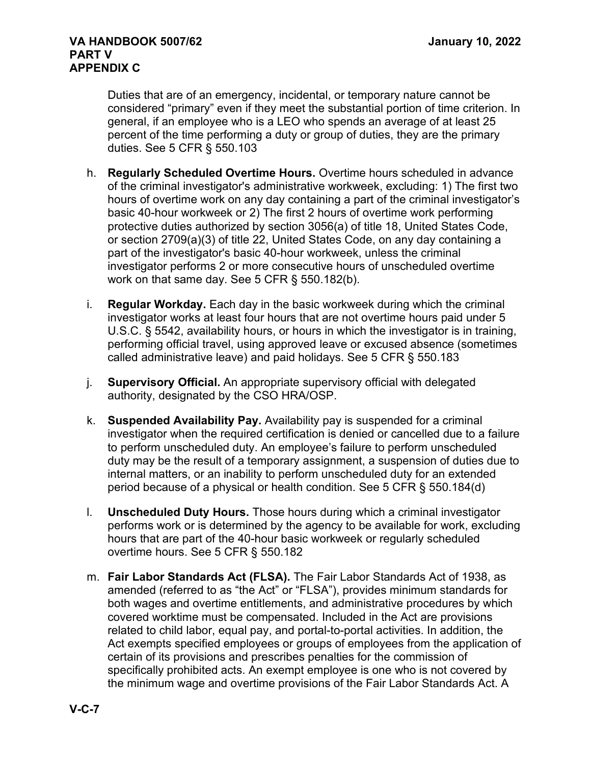Duties that are of an emergency, incidental, or temporary nature cannot be considered "primary" even if they meet the substantial portion of time criterion. In general, if an employee who is a LEO who spends an average of at least 25 percent of the time performing a duty or group of duties, they are the primary duties. See 5 CFR § 550.103

- h. **Regularly Scheduled Overtime Hours.** Overtime hours scheduled in advance of the criminal investigator's administrative workweek, excluding: 1) The first two hours of overtime work on any day containing a part of the criminal investigator's basic 40-hour workweek or 2) The first 2 hours of overtime work performing protective duties authorized by section 3056(a) of title 18, United States Code, or section 2709(a)(3) of title 22, United States Code, on any day containing a part of the investigator's basic 40-hour workweek, unless the criminal investigator performs 2 or more consecutive hours of unscheduled overtime work on that same day. See 5 CFR § 550.182(b).
- i. **Regular Workday.** Each day in the basic workweek during which the criminal investigator works at least four hours that are not overtime hours paid under 5 U.S.C. § 5542, availability hours, or hours in which the investigator is in training, performing official travel, using approved leave or excused absence (sometimes called administrative leave) and paid holidays. See 5 CFR § 550.183
- j. **Supervisory Official.** An appropriate supervisory official with delegated authority, designated by the CSO HRA/OSP.
- k. **Suspended Availability Pay.** Availability pay is suspended for a criminal investigator when the required certification is denied or cancelled due to a failure to perform unscheduled duty. An employee's failure to perform unscheduled duty may be the result of a temporary assignment, a suspension of duties due to internal matters, or an inability to perform unscheduled duty for an extended period because of a physical or health condition. See 5 CFR § 550.184(d)
- l. **Unscheduled Duty Hours.** Those hours during which a criminal investigator performs work or is determined by the agency to be available for work, excluding hours that are part of the 40-hour basic workweek or regularly scheduled overtime hours. See 5 CFR § 550.182
- m. **Fair Labor Standards Act (FLSA).** The Fair Labor Standards Act of 1938, as amended (referred to as "the Act" or "FLSA"), provides minimum standards for both wages and overtime entitlements, and administrative procedures by which covered worktime must be compensated. Included in the Act are provisions related to child labor, equal pay, and portal-to-portal activities. In addition, the Act exempts specified employees or groups of employees from the application of certain of its provisions and prescribes penalties for the commission of specifically prohibited acts. An exempt employee is one who is not covered by the minimum wage and overtime provisions of the Fair Labor Standards Act. A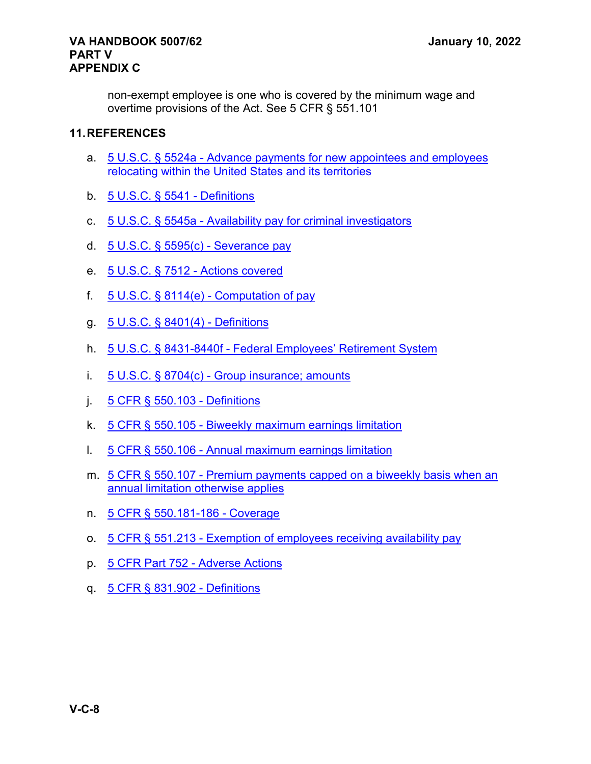#### **VA HANDBOOK 5007/62 January 10, 2022 PART V APPENDIX C**

non-exempt employee is one who is covered by the minimum wage and overtime provisions of the Act. See 5 CFR § 551.101

# **11.REFERENCES**

- a. 5 U.S.C. § 5524a [Advance payments for new appointees and employees](https://www.law.cornell.edu/uscode/text/5/5524a)  [relocating within the United States and its territories](https://www.law.cornell.edu/uscode/text/5/5524a)
- b. [5 U.S.C. § 5541](https://www.law.cornell.edu/uscode/text/5/5541) Definitions
- c. 5 U.S.C. § 5545a [Availability pay for criminal investigators](https://www.law.cornell.edu/uscode/text/5/5545a)
- d. [5 U.S.C. § 5595\(c\)](https://www.law.cornell.edu/uscode/text/5/5595) Severance pay
- e. [5 U.S.C. § 7512](https://www.law.cornell.edu/uscode/text/5/7512) Actions covered
- f.  $5 \text{ U.S.C.}$  § 8114(e) [Computation of pay](https://www.law.cornell.edu/uscode/text/5/8114)
- g. [5 U.S.C. § 8401\(4\)](https://www.law.cornell.edu/uscode/text/5/8401) Definitions
- h. 5 U.S.C. § 8431-8440f [Federal Employees' Retirement System](https://www.law.cornell.edu/uscode/text/5/part-III/subpart-G/chapter-84)
- i. 5 U.S.C. § 8704(c) [Group insurance; amounts](https://www.law.cornell.edu/uscode/text/5/8704)
- j. [5 CFR § 550.103](https://www.law.cornell.edu/cfr/text/5/550.103) Definitions
- k. 5 CFR § 550.105 [Biweekly maximum earnings limitation](https://www.law.cornell.edu/cfr/text/5/550.105)
- l. 5 CFR § 550.106 [Annual maximum earnings limitation](https://www.law.cornell.edu/cfr/text/5/550.106)
- m. 5 CFR § 550.107 [Premium payments capped on a biweekly basis when an](https://www.law.cornell.edu/cfr/text/5/550.107)  [annual limitation otherwise applies](https://www.law.cornell.edu/cfr/text/5/550.107)
- n. 5 CFR [§ 550.181-186](https://www.law.cornell.edu/cfr/text/5/550.181) Coverage
- o. 5 CFR § 551.213 [Exemption of employees receiving availability pay](https://www.law.cornell.edu/cfr/text/5/551.213)
- p. 5 CFR Part 752 [Adverse Actions](https://www.law.cornell.edu/cfr/text/5/part-752)
- q. [5 CFR § 831.902](https://www.law.cornell.edu/cfr/text/5/831.902) Definitions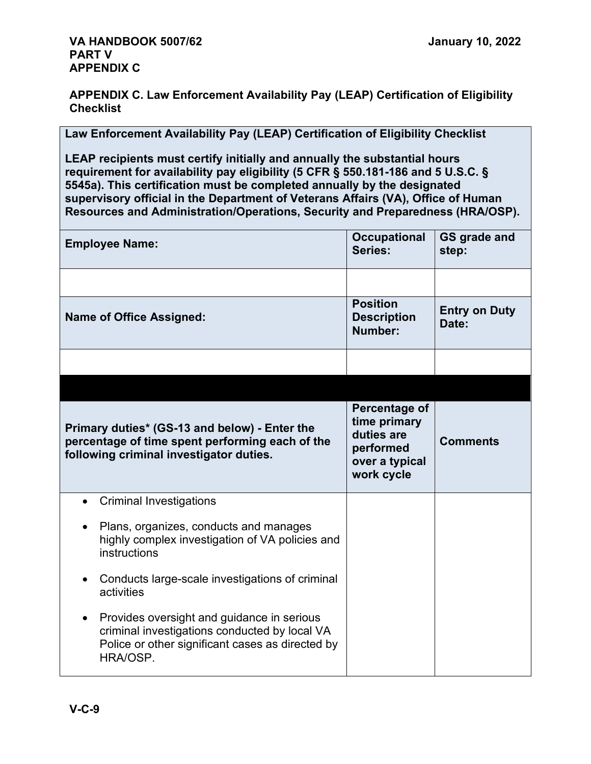**APPENDIX C. Law Enforcement Availability Pay (LEAP) Certification of Eligibility Checklist**

**Law Enforcement Availability Pay (LEAP) Certification of Eligibility Checklist**

**LEAP recipients must certify initially and annually the substantial hours requirement for availability pay eligibility (5 CFR § 550.181-186 and 5 U.S.C. § 5545a). This certification must be completed annually by the designated supervisory official in the Department of Veterans Affairs (VA), Office of Human Resources and Administration/Operations, Security and Preparedness (HRA/OSP).**

| <b>Employee Name:</b>                                                                                                                                       | <b>Occupational</b><br>Series:                                                           | <b>GS grade and</b><br>step:  |
|-------------------------------------------------------------------------------------------------------------------------------------------------------------|------------------------------------------------------------------------------------------|-------------------------------|
|                                                                                                                                                             |                                                                                          |                               |
| <b>Name of Office Assigned:</b>                                                                                                                             | <b>Position</b><br><b>Description</b><br>Number:                                         | <b>Entry on Duty</b><br>Date: |
|                                                                                                                                                             |                                                                                          |                               |
|                                                                                                                                                             |                                                                                          |                               |
| Primary duties* (GS-13 and below) - Enter the<br>percentage of time spent performing each of the<br>following criminal investigator duties.                 | Percentage of<br>time primary<br>duties are<br>performed<br>over a typical<br>work cycle | <b>Comments</b>               |
| <b>Criminal Investigations</b>                                                                                                                              |                                                                                          |                               |
| Plans, organizes, conducts and manages<br>highly complex investigation of VA policies and<br>instructions                                                   |                                                                                          |                               |
| Conducts large-scale investigations of criminal<br>activities                                                                                               |                                                                                          |                               |
| Provides oversight and guidance in serious<br>criminal investigations conducted by local VA<br>Police or other significant cases as directed by<br>HRA/OSP. |                                                                                          |                               |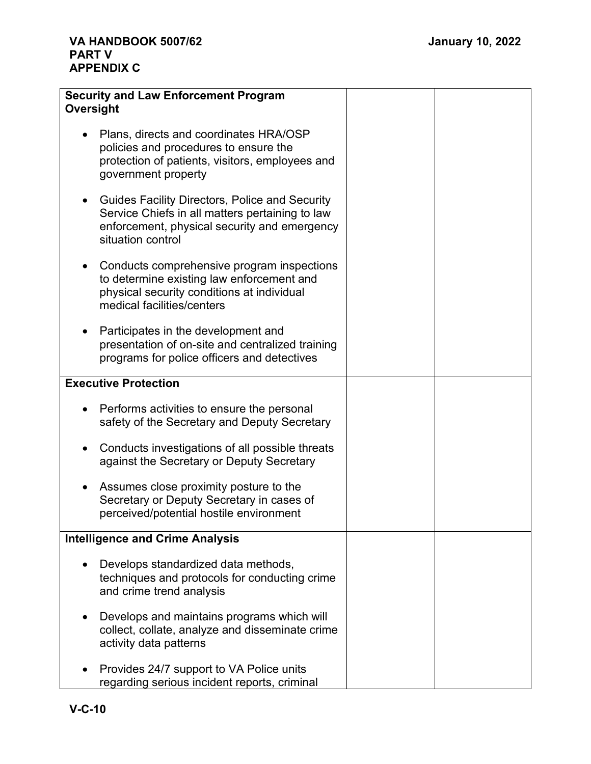| <b>Security and Law Enforcement Program</b><br>Oversight                                                                                                               |  |
|------------------------------------------------------------------------------------------------------------------------------------------------------------------------|--|
| Plans, directs and coordinates HRA/OSP<br>policies and procedures to ensure the<br>protection of patients, visitors, employees and<br>government property              |  |
| Guides Facility Directors, Police and Security<br>Service Chiefs in all matters pertaining to law<br>enforcement, physical security and emergency<br>situation control |  |
| Conducts comprehensive program inspections<br>to determine existing law enforcement and<br>physical security conditions at individual<br>medical facilities/centers    |  |
| Participates in the development and<br>presentation of on-site and centralized training<br>programs for police officers and detectives                                 |  |
| <b>Executive Protection</b>                                                                                                                                            |  |
| Performs activities to ensure the personal<br>safety of the Secretary and Deputy Secretary                                                                             |  |
| Conducts investigations of all possible threats<br>against the Secretary or Deputy Secretary                                                                           |  |
| Assumes close proximity posture to the<br>Secretary or Deputy Secretary in cases of<br>perceived/potential hostile environment                                         |  |
| <b>Intelligence and Crime Analysis</b>                                                                                                                                 |  |
| Develops standardized data methods,<br>techniques and protocols for conducting crime<br>and crime trend analysis                                                       |  |
| Develops and maintains programs which will<br>collect, collate, analyze and disseminate crime<br>activity data patterns                                                |  |
| Provides 24/7 support to VA Police units<br>regarding serious incident reports, criminal                                                                               |  |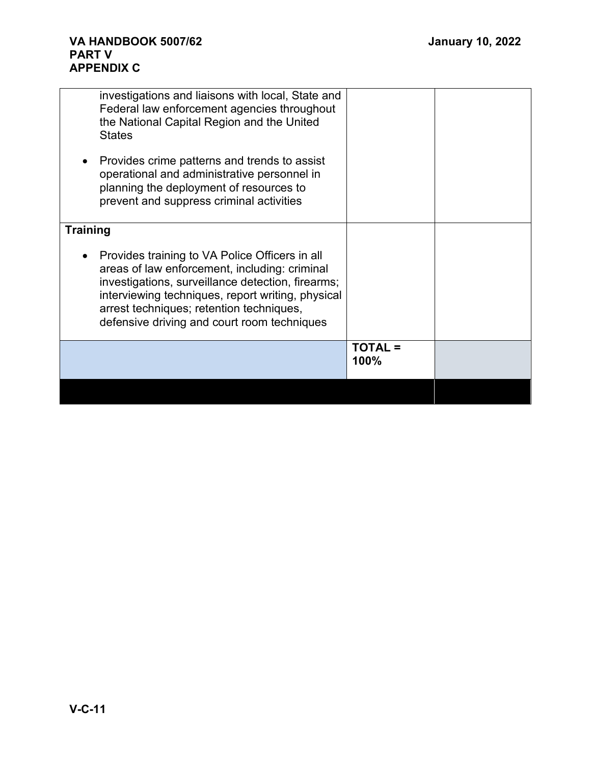| investigations and liaisons with local, State and<br>Federal law enforcement agencies throughout<br>the National Capital Region and the United<br><b>States</b>                                                                                                                                                   |                        |  |
|-------------------------------------------------------------------------------------------------------------------------------------------------------------------------------------------------------------------------------------------------------------------------------------------------------------------|------------------------|--|
| Provides crime patterns and trends to assist<br>operational and administrative personnel in<br>planning the deployment of resources to<br>prevent and suppress criminal activities                                                                                                                                |                        |  |
| <b>Training</b>                                                                                                                                                                                                                                                                                                   |                        |  |
| Provides training to VA Police Officers in all<br>$\bullet$<br>areas of law enforcement, including: criminal<br>investigations, surveillance detection, firearms;<br>interviewing techniques, report writing, physical<br>arrest techniques; retention techniques,<br>defensive driving and court room techniques |                        |  |
|                                                                                                                                                                                                                                                                                                                   | <b>TOTAL =</b><br>100% |  |
|                                                                                                                                                                                                                                                                                                                   |                        |  |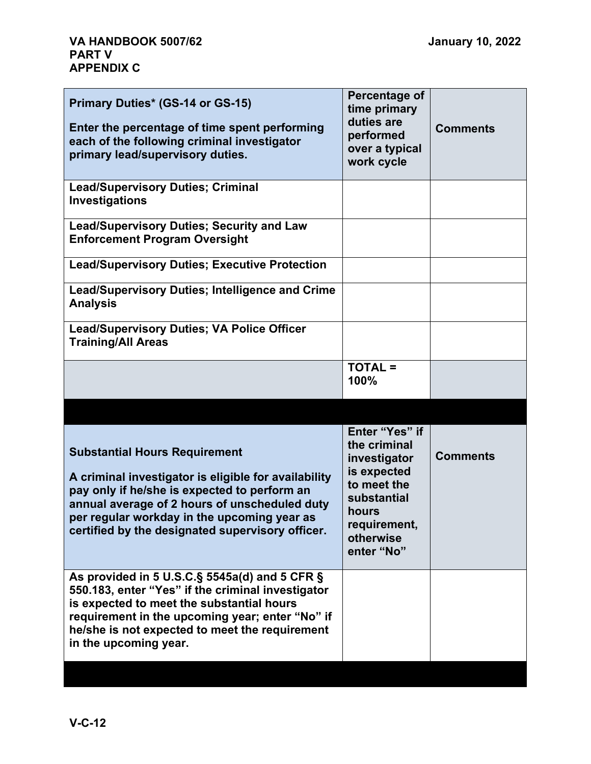| Primary Duties* (GS-14 or GS-15)<br>Enter the percentage of time spent performing<br>each of the following criminal investigator<br>primary lead/supervisory duties.                                                                                                          | Percentage of<br>time primary<br>duties are<br>performed<br>over a typical<br>work cycle    | <b>Comments</b> |
|-------------------------------------------------------------------------------------------------------------------------------------------------------------------------------------------------------------------------------------------------------------------------------|---------------------------------------------------------------------------------------------|-----------------|
| <b>Lead/Supervisory Duties; Criminal</b><br>Investigations                                                                                                                                                                                                                    |                                                                                             |                 |
| <b>Lead/Supervisory Duties; Security and Law</b><br><b>Enforcement Program Oversight</b>                                                                                                                                                                                      |                                                                                             |                 |
| <b>Lead/Supervisory Duties; Executive Protection</b>                                                                                                                                                                                                                          |                                                                                             |                 |
| Lead/Supervisory Duties; Intelligence and Crime<br><b>Analysis</b>                                                                                                                                                                                                            |                                                                                             |                 |
| <b>Lead/Supervisory Duties; VA Police Officer</b><br><b>Training/All Areas</b>                                                                                                                                                                                                |                                                                                             |                 |
|                                                                                                                                                                                                                                                                               | <b>TOTAL =</b><br>100%                                                                      |                 |
|                                                                                                                                                                                                                                                                               |                                                                                             |                 |
| <b>Substantial Hours Requirement</b><br>A criminal investigator is eligible for availability<br>pay only if he/she is expected to perform an                                                                                                                                  | Enter "Yes" if<br>the criminal<br>investigator<br>is expected<br>to meet the<br>substantial | <b>Comments</b> |
| annual average of 2 hours of unscheduled duty<br>per regular workday in the upcoming year as<br>certified by the designated supervisory officer.                                                                                                                              | hours<br>requirement,<br>otherwise<br>enter "No"                                            |                 |
| As provided in 5 U.S.C.§ 5545a(d) and 5 CFR §<br>550.183, enter "Yes" if the criminal investigator<br>is expected to meet the substantial hours<br>requirement in the upcoming year; enter "No" if<br>he/she is not expected to meet the requirement<br>in the upcoming year. |                                                                                             |                 |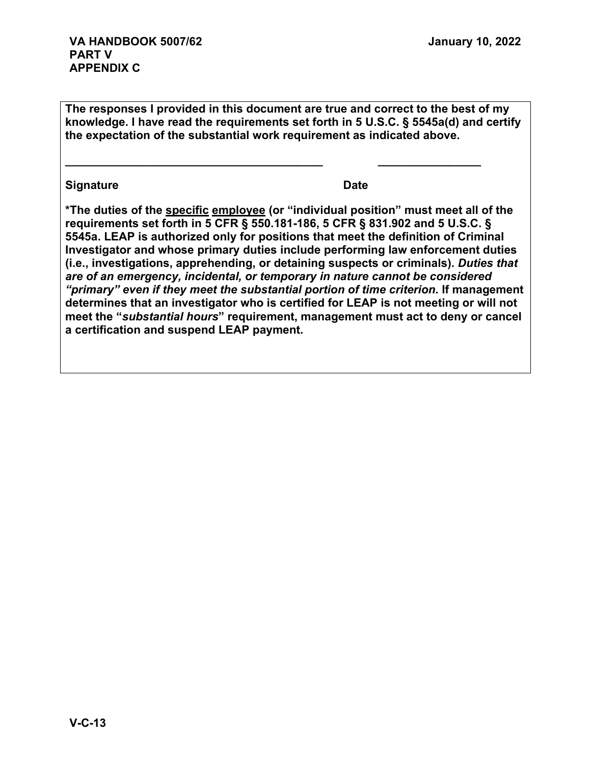**The responses I provided in this document are true and correct to the best of my knowledge. I have read the requirements set forth in 5 U.S.C. § 5545a(d) and certify the expectation of the substantial work requirement as indicated above.**

**\_\_\_\_\_\_\_\_\_\_\_\_\_\_\_\_\_\_\_\_\_\_\_\_\_\_\_\_\_\_\_\_\_\_\_\_\_\_\_\_ \_\_\_\_\_\_\_\_\_\_\_\_\_\_\_\_**

# **Signature Date**

**\*The duties of the specific employee (or "individual position" must meet all of the requirements set forth in 5 CFR § 550.181-186, 5 CFR § 831.902 and 5 U.S.C. § 5545a. LEAP is authorized only for positions that meet the definition of Criminal Investigator and whose primary duties include performing law enforcement duties (i.e., investigations, apprehending, or detaining suspects or criminals).** *Duties that are of an emergency, incidental, or temporary in nature cannot be considered "primary" even if they meet the substantial portion of time criterion.* **If management determines that an investigator who is certified for LEAP is not meeting or will not meet the "***substantial hours***" requirement, management must act to deny or cancel a certification and suspend LEAP payment.**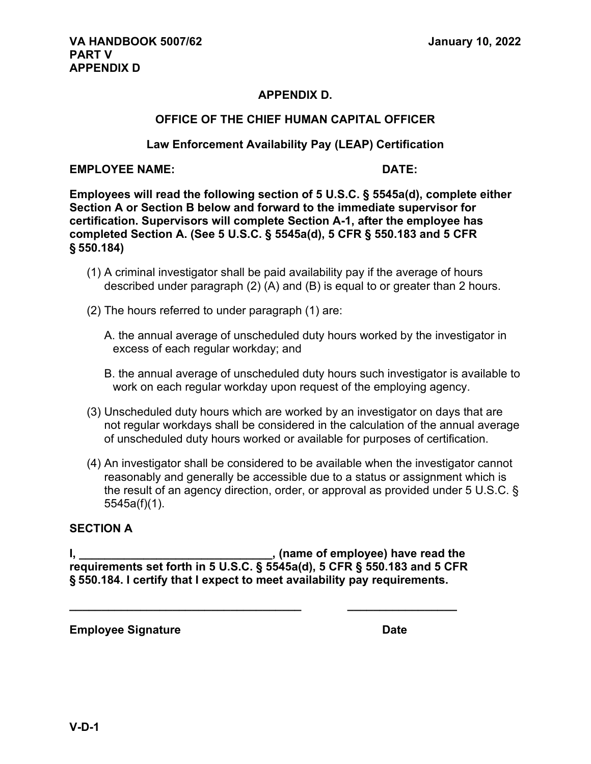# **APPENDIX D.**

#### **OFFICE OF THE CHIEF HUMAN CAPITAL OFFICER**

#### **Law Enforcement Availability Pay (LEAP) Certification**

#### **EMPLOYEE NAME: DATE:**

**Employees will read the following section of 5 U.S.C. § 5545a(d), complete either Section A or Section B below and forward to the immediate supervisor for certification. Supervisors will complete Section A-1, after the employee has completed Section A. (See 5 U.S.C. § 5545a(d), 5 CFR § 550.183 and 5 CFR § 550.184)** 

- (1) A criminal investigator shall be paid availability pay if the average of hours described under paragraph (2) (A) and (B) is equal to or greater than 2 hours.
- (2) The hours referred to under paragraph (1) are:
	- A. the annual average of unscheduled duty hours worked by the investigator in excess of each regular workday; and
	- B. the annual average of unscheduled duty hours such investigator is available to work on each regular workday upon request of the employing agency.
- (3) Unscheduled duty hours which are worked by an investigator on days that are not regular workdays shall be considered in the calculation of the annual average of unscheduled duty hours worked or available for purposes of certification.
- (4) An investigator shall be considered to be available when the investigator cannot reasonably and generally be accessible due to a status or assignment which is the result of an agency direction, order, or approval as provided under 5 U.S.C. § 5545a(f)(1).

#### **SECTION A**

**I, \_\_\_\_\_\_\_\_\_\_\_\_\_\_\_\_\_\_\_\_\_\_\_\_\_\_\_\_\_\_, (name of employee) have read the requirements set forth in 5 U.S.C. § 5545a(d), 5 CFR § 550.183 and 5 CFR § 550.184. I certify that I expect to meet availability pay requirements.** 

**\_\_\_\_\_\_\_\_\_\_\_\_\_\_\_\_\_\_\_\_\_\_\_\_\_\_\_\_\_\_\_\_\_\_\_\_ \_\_\_\_\_\_\_\_\_\_\_\_\_\_\_\_\_**

**Employee Signature Date**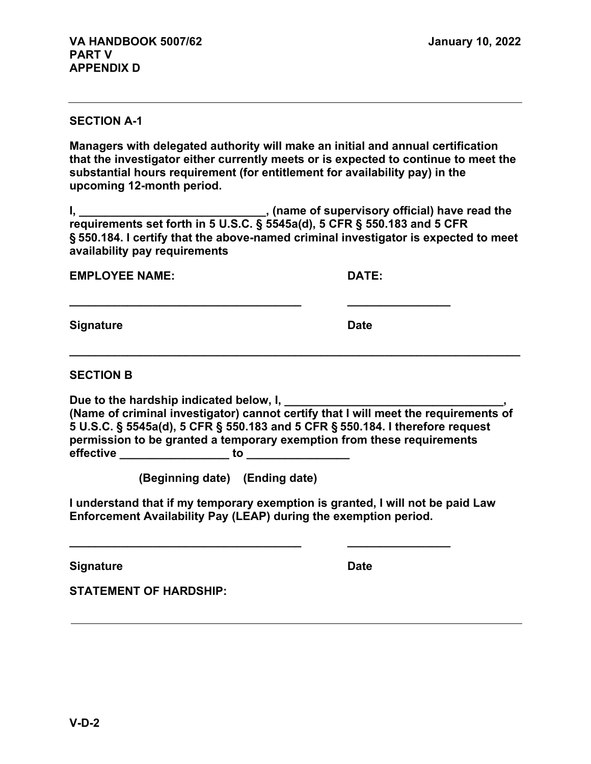#### **SECTION A-1**

**Managers with delegated authority will make an initial and annual certification that the investigator either currently meets or is expected to continue to meet the substantial hours requirement (for entitlement for availability pay) in the upcoming 12-month period.** 

**I, \_\_\_\_\_\_\_\_\_\_\_\_\_\_\_\_\_\_\_\_\_\_\_\_\_\_\_\_\_, (name of supervisory official) have read the requirements set forth in 5 U.S.C. § 5545a(d), 5 CFR § 550.183 and 5 CFR § 550.184. I certify that the above-named criminal investigator is expected to meet availability pay requirements** 

**\_\_\_\_\_\_\_\_\_\_\_\_\_\_\_\_\_\_\_\_\_\_\_\_\_\_\_\_\_\_\_\_\_\_\_\_ \_\_\_\_\_\_\_\_\_\_\_\_\_\_\_\_**

**EMPLOYEE NAME: DATE:** 

**Signature Date** 

**SECTION B**

Due to the hardship indicated below, I, **(Name of criminal investigator) cannot certify that I will meet the requirements of 5 U.S.C. § 5545a(d), 5 CFR § 550.183 and 5 CFR § 550.184. I therefore request permission to be granted a temporary exemption from these requirements effective \_\_\_\_\_\_\_\_\_\_\_\_\_\_\_\_\_ to \_\_\_\_\_\_\_\_\_\_\_\_\_\_\_\_**

**\_\_\_\_\_\_\_\_\_\_\_\_\_\_\_\_\_\_\_\_\_\_\_\_\_\_\_\_\_\_\_\_\_\_\_\_\_\_\_\_\_\_\_\_\_\_\_\_\_\_\_\_\_\_\_\_\_\_\_\_\_\_\_\_\_\_\_\_\_\_**

**(Beginning date) (Ending date)** 

**I understand that if my temporary exemption is granted, I will not be paid Law Enforcement Availability Pay (LEAP) during the exemption period.** 

**\_\_\_\_\_\_\_\_\_\_\_\_\_\_\_\_\_\_\_\_\_\_\_\_\_\_\_\_\_\_\_\_\_\_\_\_ \_\_\_\_\_\_\_\_\_\_\_\_\_\_\_\_**

**Signature Date Date** 

**STATEMENT OF HARDSHIP:**